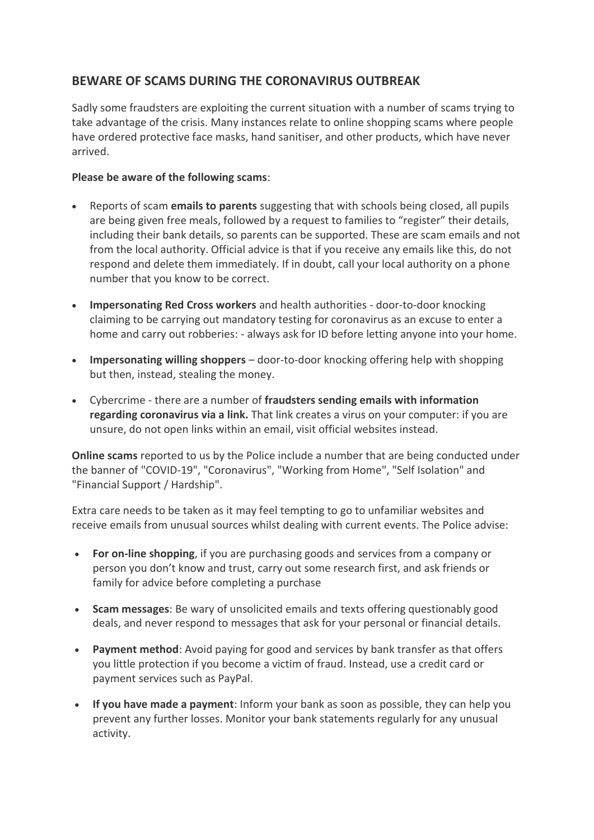## **BEWARE OF SCAMS DURING THE CORONAVIRUS OUTBREAK**

Sadly some fraudsters are exploiting the current situation with a number of scams trying to take advantage of the crisis. Many instances relate to online shopping scams where people have ordered protective face masks, hand sanitiser, and other products, which have never arrived.

## **Please be aware of the following scams**:

- Reports of scam **emails to parents** suggesting that with schools being closed, all pupils are being given free meals, followed by a request to families to "register" their details, including their bank details, so parents can be supported. These are scam emails and not from the local authority. Official advice is that if you receive any emails like this, do not respond and delete them immediately. If in doubt, call your local authority on a phone number that you know to be correct.
- **Impersonating Red Cross workers** and health authorities door-to-door knocking claiming to be carrying out mandatory testing for coronavirus as an excuse to enter a home and carry out robberies: - always ask for ID before letting anyone into your home.
- **Impersonating willing shoppers** door-to-door knocking offering help with shopping but then, instead, stealing the money.
- Cybercrime there are a number of **fraudsters sending emails with information regarding coronavirus via a link.** That link creates a virus on your computer: if you are unsure, do not open links within an email, visit official websites instead.

**Online scams** reported to us by the Police include a number that are being conducted under the banner of "COVID-19", "Coronavirus", "Working from Home", "Self Isolation" and "Financial Support / Hardship".

Extra care needs to be taken as it may feel tempting to go to unfamiliar websites and receive emails from unusual sources whilst dealing with current events. The Police advise:

- **For on-line shopping**, if you are purchasing goods and services from a company or person you don't know and trust, carry out some research first, and ask friends or family for advice before completing a purchase
- **Scam messages**: Be wary of unsolicited emails and texts offering questionably good deals, and never respond to messages that ask for your personal or financial details.
- **Payment method**: Avoid paying for good and services by bank transfer as that offers you little protection if you become a victim of fraud. Instead, use a credit card or payment services such as PayPal.
- **If you have made a payment**: Inform your bank as soon as possible, they can help you prevent any further losses. Monitor your bank statements regularly for any unusual activity.